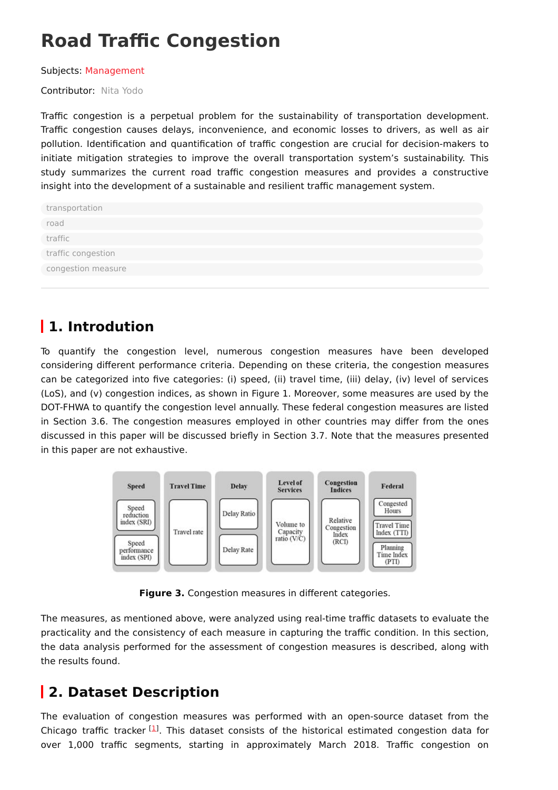# **Road Traffic Congestion**

Subjects: [Management](https://encyclopedia.pub/entry/subject/315)

Contributor: Nita [Yodo](https://sciprofiles.com/profile/617059)

Traffic congestion is a perpetual problem for the sustainability of transportation development. Traffic congestion causes delays, inconvenience, and economic losses to drivers, as well as air pollution. Identification and quantification of traffic congestion are crucial for decision-makers to initiate mitigation strategies to improve the overall transportation system's sustainability. This study summarizes the current road traffic congestion measures and provides a constructive insight into the development of a sustainable and resilient traffic management system.

| transportation     |
|--------------------|
| road               |
| traffic            |
| traffic congestion |
| congestion measure |
|                    |

# **1. Introdution**

To quantify the congestion level, numerous congestion measures have been developed considering different performance criteria. Depending on these criteria, the congestion measures can be categorized into five categories: (i) speed, (ii) travel time, (iii) delay, (iv) level of services (LoS), and (v) congestion indices, as shown in Figure 1. Moreover, some measures are used by the DOT-FHWA to quantify the congestion level annually. These federal congestion measures are listed in Section 3.6. The congestion measures employed in other countries may differ from the ones discussed in this paper will be discussed briefly in Section 3.7. Note that the measures presented in this paper are not exhaustive.



**Figure 3.** Congestion measures in different categories.

The measures, as mentioned above, were analyzed using real-time traffic datasets to evaluate the practicality and the consistency of each measure in capturing the traffic condition. In this section, the data analysis performed for the assessment of congestion measures is described, along with the results found.

## **2. Dataset Description**

The evaluation of congestion measures was performed with an open-source dataset from the Chicago traffic tracker  $[1]$  $[1]$ . This dataset consists of the historical estimated congestion data for over 1,000 traffic segments, starting in approximately March 2018. Traffic congestion on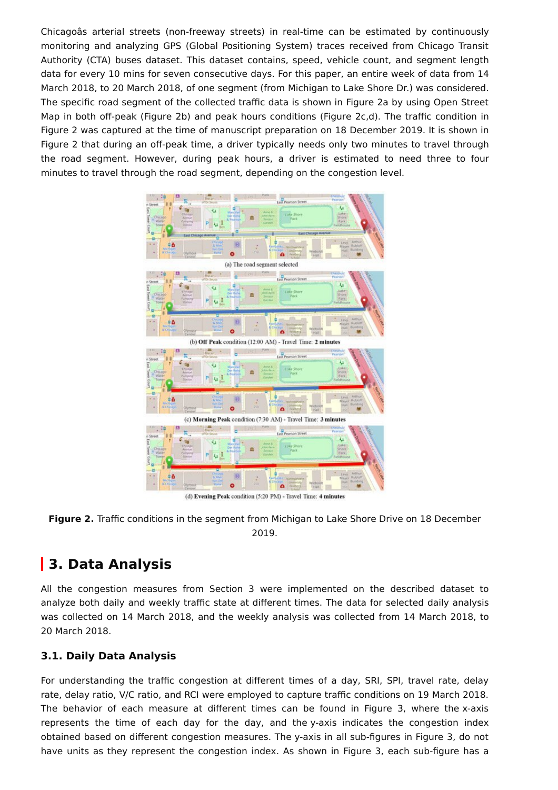Chicagoâs arterial streets (non-freeway streets) in real-time can be estimated by continuously monitoring and analyzing GPS (Global Positioning System) traces received from Chicago Transit Authority (CTA) buses dataset. This dataset contains, speed, vehicle count, and segment length data for every 10 mins for seven consecutive days. For this paper, an entire week of data from 14 March 2018, to 20 March 2018, of one segment (from Michigan to Lake Shore Dr.) was considered. The specific road segment of the collected traffic data is shown in Figure 2a by using Open Street Map in both off-peak (Figure 2b) and peak hours conditions (Figure 2c,d). The traffic condition in Figure 2 was captured at the time of manuscript preparation on 18 December 2019. It is shown in Figure 2 that during an off-peak time, a driver typically needs only two minutes to travel through the road segment. However, during peak hours, a driver is estimated to need three to four minutes to travel through the road segment, depending on the congestion level.



(d) Evening Peak condition (5:20 PM) - Travel Time: 4 minutes



### **3. Data Analysis**

All the congestion measures from Section 3 were implemented on the described dataset to analyze both daily and weekly traffic state at different times. The data for selected daily analysis was collected on 14 March 2018, and the weekly analysis was collected from 14 March 2018, to 20 March 2018.

#### **3.1. Daily Data Analysis**

For understanding the traffic congestion at different times of a day, SRI, SPI, travel rate, delay rate, delay ratio, V/C ratio, and RCI were employed to capture traffic conditions on 19 March 2018. The behavior of each measure at different times can be found in Figure 3, where the x-axis represents the time of each day for the day, and the y-axis indicates the congestion index obtained based on different congestion measures. The y-axis in all sub-figures in Figure 3, do not have units as they represent the congestion index. As shown in Figure 3, each sub-figure has a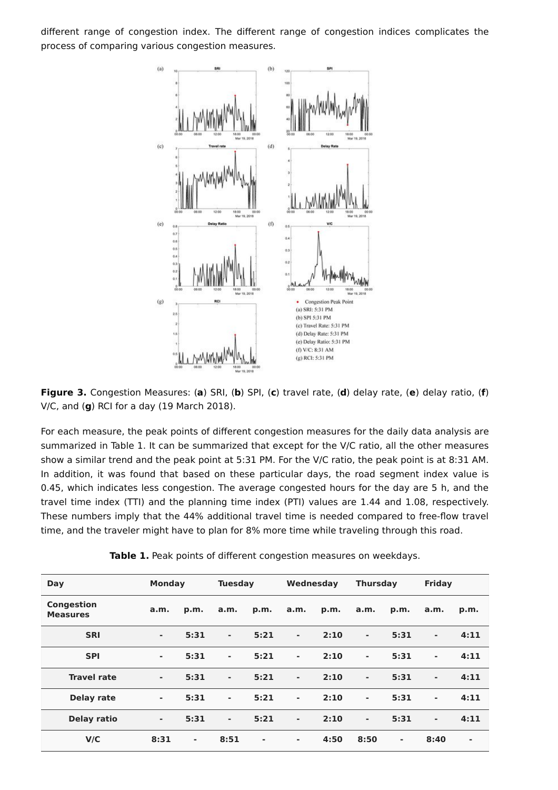different range of congestion index. The different range of congestion indices complicates the process of comparing various congestion measures.



**Figure 3.** Congestion Measures: (**a**) SRI, (**b**) SPI, (**c**) travel rate, (**d**) delay rate, (**e**) delay ratio, (**f**) V/C, and (**g**) RCI for a day (19 March 2018).

For each measure, the peak points of different congestion measures for the daily data analysis are summarized in Table 1. It can be summarized that except for the V/C ratio, all the other measures show a similar trend and the peak point at 5:31 PM. For the V/C ratio, the peak point is at 8:31 AM. In addition, it was found that based on these particular days, the road segment index value is 0.45, which indicates less congestion. The average congested hours for the day are 5 h, and the travel time index (TTI) and the planning time index (PTI) values are 1.44 and 1.08, respectively. These numbers imply that the 44% additional travel time is needed compared to free-flow travel time, and the traveler might have to plan for 8% more time while traveling through this road.

| Day                                  | <b>Monday</b> |                | <b>Tuesday</b>           |        | Wednesday      |      | <b>Thursday</b> |                | <b>Friday</b>  |      |
|--------------------------------------|---------------|----------------|--------------------------|--------|----------------|------|-----------------|----------------|----------------|------|
| <b>Congestion</b><br><b>Measures</b> | a.m.          | p.m.           | a.m.                     | p.m.   | a.m.           | p.m. | a.m.            | p.m.           | a.m.           | p.m. |
| <b>SRI</b>                           | ٠             | 5:31           | $\overline{\phantom{a}}$ | 5:21   | ۰              | 2:10 | $\blacksquare$  | 5:31           | ٠              | 4:11 |
| <b>SPI</b>                           | ٠             | 5:31           | $\blacksquare$           | 5:21   | $\blacksquare$ | 2:10 | $\blacksquare$  | 5:31           | $\blacksquare$ | 4:11 |
| <b>Travel rate</b>                   | ۰             | 5:31           | $\blacksquare$           | 5:21   | ۰              | 2:10 | ۰               | 5:31           | ٠              | 4:11 |
| <b>Delay rate</b>                    | ٠             | 5:31           | $\blacksquare$           | 5:21   | $\blacksquare$ | 2:10 | $\blacksquare$  | 5:31           | ٠              | 4:11 |
| Delay ratio                          | ۰             | 5:31           | $\overline{\phantom{a}}$ | 5:21   | $\blacksquare$ | 2:10 | $\blacksquare$  | 5:31           | ٠              | 4:11 |
| V/C                                  | 8:31          | $\blacksquare$ | 8:51                     | $\sim$ | $\sim$         | 4:50 | 8:50            | $\blacksquare$ | 8:40           | ۰    |

**Table 1.** Peak points of different congestion measures on weekdays.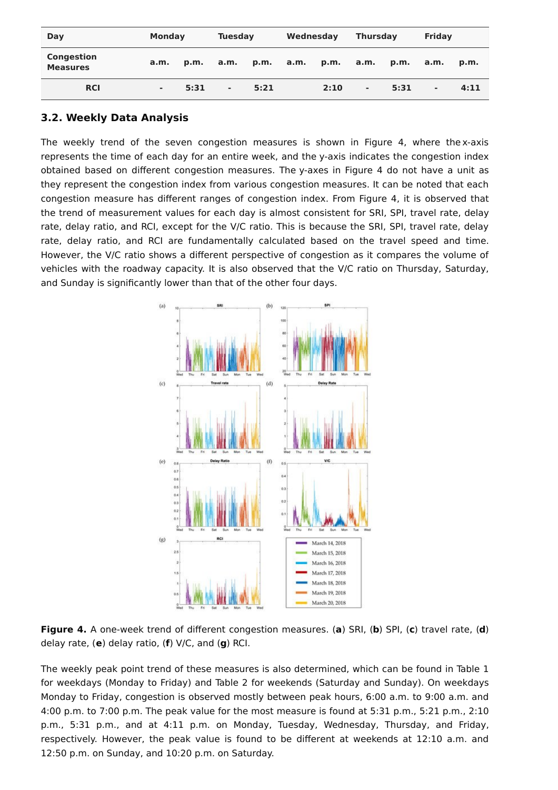| Day                                  | <b>Monday</b> |      | <b>Tuesday</b> |      | Wednesday |      | <b>Thursday</b> |      | Friday                   |      |
|--------------------------------------|---------------|------|----------------|------|-----------|------|-----------------|------|--------------------------|------|
| <b>Congestion</b><br><b>Measures</b> | a.m.          | p.m. | a.m.           | p.m. | a.m.      | p.m. | a.m.            | p.m. | a.m.                     | p.m. |
| <b>RCI</b>                           | ۰             | 5:31 | $\blacksquare$ | 5:21 |           | 2:10 | $\blacksquare$  | 5:31 | $\overline{\phantom{a}}$ | 4:11 |

#### **3.2. Weekly Data Analysis**

The weekly trend of the seven congestion measures is shown in Figure 4, where the x-axis represents the time of each day for an entire week, and the y-axis indicates the congestion index obtained based on different congestion measures. The y-axes in Figure 4 do not have a unit as they represent the congestion index from various congestion measures. It can be noted that each congestion measure has different ranges of congestion index. From Figure 4, it is observed that the trend of measurement values for each day is almost consistent for SRI, SPI, travel rate, delay rate, delay ratio, and RCI, except for the V/C ratio. This is because the SRI, SPI, travel rate, delay rate, delay ratio, and RCI are fundamentally calculated based on the travel speed and time. However, the V/C ratio shows a different perspective of congestion as it compares the volume of vehicles with the roadway capacity. It is also observed that the V/C ratio on Thursday, Saturday, and Sunday is significantly lower than that of the other four days.



**Figure 4.** A one-week trend of different congestion measures. (**a**) SRI, (**b**) SPI, (**c**) travel rate, (**d**) delay rate, (**e**) delay ratio, (**f**) V/C, and (**g**) RCI.

The weekly peak point trend of these measures is also determined, which can be found in Table 1 for weekdays (Monday to Friday) and Table 2 for weekends (Saturday and Sunday). On weekdays Monday to Friday, congestion is observed mostly between peak hours, 6:00 a.m. to 9:00 a.m. and 4:00 p.m. to 7:00 p.m. The peak value for the most measure is found at 5:31 p.m., 5:21 p.m., 2:10 p.m., 5:31 p.m., and at 4:11 p.m. on Monday, Tuesday, Wednesday, Thursday, and Friday, respectively. However, the peak value is found to be different at weekends at 12:10 a.m. and 12:50 p.m. on Sunday, and 10:20 p.m. on Saturday.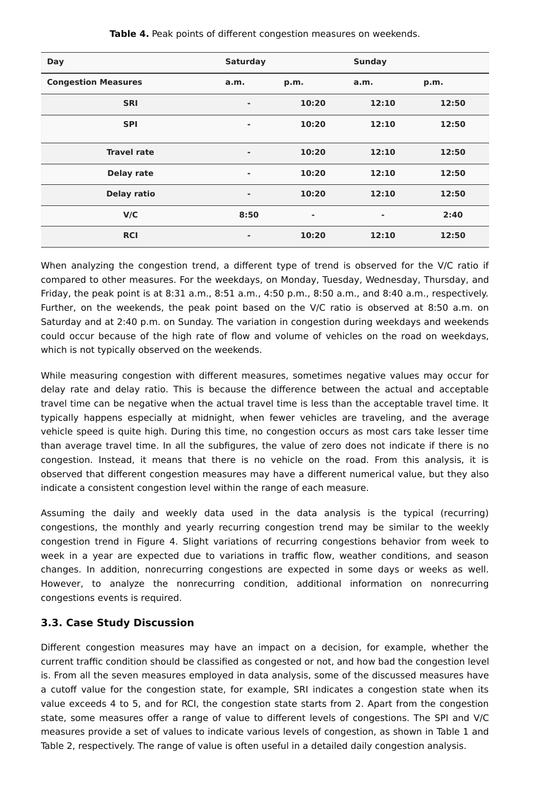| <b>Day</b>                 | <b>Saturday</b> |       | <b>Sunday</b> |       |
|----------------------------|-----------------|-------|---------------|-------|
| <b>Congestion Measures</b> | a.m.            | p.m.  | a.m.          | p.m.  |
| <b>SRI</b>                 | ٠               | 10:20 | 12:10         | 12:50 |
| <b>SPI</b>                 | ٠               | 10:20 | 12:10         | 12:50 |
| <b>Travel rate</b>         | ٠               | 10:20 | 12:10         | 12:50 |
| <b>Delay rate</b>          | ٠               | 10:20 | 12:10         | 12:50 |
| <b>Delay ratio</b>         | $\blacksquare$  | 10:20 | 12:10         | 12:50 |
| V/C                        | 8:50            | ۰     | ۰             | 2:40  |
| <b>RCI</b>                 | ٠               | 10:20 | 12:10         | 12:50 |

**Table 4.** Peak points of different congestion measures on weekends.

When analyzing the congestion trend, a different type of trend is observed for the V/C ratio if compared to other measures. For the weekdays, on Monday, Tuesday, Wednesday, Thursday, and Friday, the peak point is at 8:31 a.m., 8:51 a.m., 4:50 p.m., 8:50 a.m., and 8:40 a.m., respectively. Further, on the weekends, the peak point based on the V/C ratio is observed at 8:50 a.m. on Saturday and at 2:40 p.m. on Sunday. The variation in congestion during weekdays and weekends could occur because of the high rate of flow and volume of vehicles on the road on weekdays, which is not typically observed on the weekends.

While measuring congestion with different measures, sometimes negative values may occur for delay rate and delay ratio. This is because the difference between the actual and acceptable travel time can be negative when the actual travel time is less than the acceptable travel time. It typically happens especially at midnight, when fewer vehicles are traveling, and the average vehicle speed is quite high. During this time, no congestion occurs as most cars take lesser time than average travel time. In all the subfigures, the value of zero does not indicate if there is no congestion. Instead, it means that there is no vehicle on the road. From this analysis, it is observed that different congestion measures may have a different numerical value, but they also indicate a consistent congestion level within the range of each measure.

Assuming the daily and weekly data used in the data analysis is the typical (recurring) congestions, the monthly and yearly recurring congestion trend may be similar to the weekly congestion trend in Figure 4. Slight variations of recurring congestions behavior from week to week in a year are expected due to variations in traffic flow, weather conditions, and season changes. In addition, nonrecurring congestions are expected in some days or weeks as well. However, to analyze the nonrecurring condition, additional information on nonrecurring congestions events is required.

#### **3.3. Case Study Discussion**

Different congestion measures may have an impact on a decision, for example, whether the current traffic condition should be classified as congested or not, and how bad the congestion level is. From all the seven measures employed in data analysis, some of the discussed measures have a cutoff value for the congestion state, for example, SRI indicates a congestion state when its value exceeds 4 to 5, and for RCI, the congestion state starts from 2. Apart from the congestion state, some measures offer a range of value to different levels of congestions. The SPI and V/C measures provide a set of values to indicate various levels of congestion, as shown in Table 1 and Table 2, respectively. The range of value is often useful in a detailed daily congestion analysis.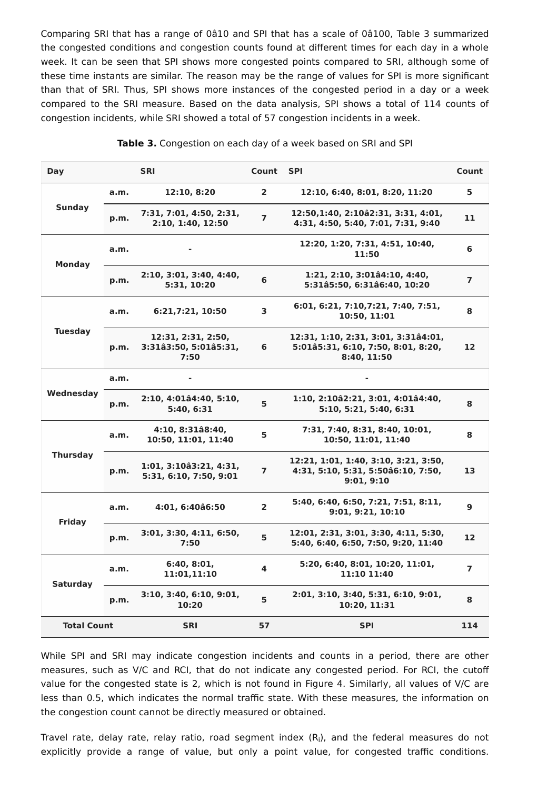Comparing SRI that has a range of 0â10 and SPI that has a scale of 0â100, Table 3 summarized the congested conditions and congestion counts found at different times for each day in a whole week. It can be seen that SPI shows more congested points compared to SRI, although some of these time instants are similar. The reason may be the range of values for SPI is more significant than that of SRI. Thus, SPI shows more instances of the congested period in a day or a week compared to the SRI measure. Based on the data analysis, SPI shows a total of 114 counts of congestion incidents, while SRI showed a total of 57 congestion incidents in a week.

| Day                | <b>SRI</b> |                                                     | Count                   | <b>SPI</b>                                                                               | Count          |
|--------------------|------------|-----------------------------------------------------|-------------------------|------------------------------------------------------------------------------------------|----------------|
|                    | a.m.       | 12:10, 8:20                                         | $\mathbf{2}$            | 12:10, 6:40, 8:01, 8:20, 11:20                                                           | 5              |
| <b>Sunday</b>      | p.m.       | 7:31, 7:01, 4:50, 2:31,<br>2:10, 1:40, 12:50        | $\overline{\mathbf{z}}$ | 12:50,1:40, 2:10â2:31, 3:31, 4:01,<br>4:31, 4:50, 5:40, 7:01, 7:31, 9:40                 | 11             |
| <b>Monday</b>      | a.m.       |                                                     |                         | 12:20, 1:20, 7:31, 4:51, 10:40,<br>11:50                                                 | 6              |
|                    | p.m.       | 2:10, 3:01, 3:40, 4:40,<br>5:31, 10:20              | 6                       | 1:21, 2:10, 3:01â4:10, 4:40,<br>5:31â5:50, 6:31â6:40, 10:20                              | $\overline{ }$ |
| <b>Tuesday</b>     | a.m.       | 6:21,7:21, 10:50                                    | $\overline{\mathbf{3}}$ | 6:01, 6:21, 7:10, 7:21, 7:40, 7:51,<br>10:50, 11:01                                      | 8              |
|                    | p.m.       | 12:31, 2:31, 2:50,<br>3:31â3:50, 5:01â5:31,<br>7:50 | 6                       | 12:31, 1:10, 2:31, 3:01, 3:31â4:01,<br>5:01â5:31, 6:10, 7:50, 8:01, 8:20,<br>8:40, 11:50 | 12             |
| Wednesday          | a.m.       |                                                     |                         |                                                                                          |                |
|                    | p.m.       | 2:10, 4:01â4:40, 5:10,<br>5:40, 6:31                | $\overline{5}$          | 1:10, 2:10â2:21, 3:01, 4:01â4:40,<br>5:10, 5:21, 5:40, 6:31                              | 8              |
| <b>Thursday</b>    | a.m.       | 4:10, 8:31â8:40,<br>10:50, 11:01, 11:40             | 5                       | 7:31, 7:40, 8:31, 8:40, 10:01,<br>10:50, 11:01, 11:40                                    | 8              |
|                    | p.m.       | 1:01, 3:10â3:21, 4:31,<br>5:31, 6:10, 7:50, 9:01    | $\overline{7}$          | 12:21, 1:01, 1:40, 3:10, 3:21, 3:50,<br>4:31, 5:10, 5:31, 5:50â6:10, 7:50,<br>9:01, 9:10 | 13             |
| <b>Friday</b>      | a.m.       | 4:01, 6:40â6:50                                     | $\overline{2}$          | 5:40, 6:40, 6:50, 7:21, 7:51, 8:11,<br>9:01, 9:21, 10:10                                 | $\mathbf{9}$   |
|                    | p.m.       | 3:01, 3:30, 4:11, 6:50,<br>7:50                     | 5                       | 12:01, 2:31, 3:01, 3:30, 4:11, 5:30,<br>5:40, 6:40, 6:50, 7:50, 9:20, 11:40              | 12             |
| <b>Saturday</b>    | a.m.       | 6:40, 8:01,<br>11:01,11:10                          | 4                       | 5:20, 6:40, 8:01, 10:20, 11:01,<br>11:10 11:40                                           | $\overline{ }$ |
|                    | p.m.       | 3:10, 3:40, 6:10, 9:01,<br>10:20                    | 5                       | 2:01, 3:10, 3:40, 5:31, 6:10, 9:01,<br>10:20, 11:31                                      | 8              |
| <b>Total Count</b> |            | <b>SRI</b>                                          | 57                      | <b>SPI</b>                                                                               | 114            |

**Table 3.** Congestion on each day of a week based on SRI and SPI

While SPI and SRI may indicate congestion incidents and counts in a period, there are other measures, such as V/C and RCI, that do not indicate any congested period. For RCI, the cutoff value for the congested state is 2, which is not found in Figure 4. Similarly, all values of V/C are less than 0.5, which indicates the normal traffic state. With these measures, the information on the congestion count cannot be directly measured or obtained.

Travel rate, delay rate, relay ratio, road segment index  $(R_i)$ , and the federal measures do not explicitly provide a range of value, but only a point value, for congested traffic conditions.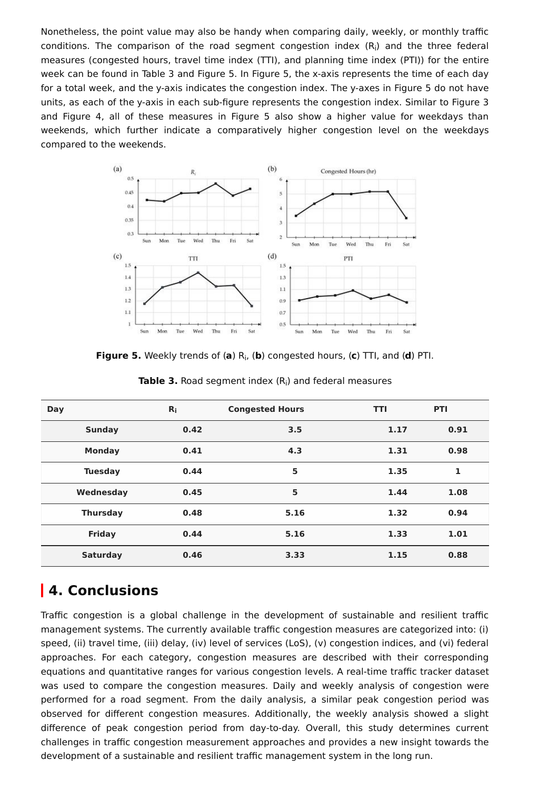Nonetheless, the point value may also be handy when comparing daily, weekly, or monthly traffic conditions. The comparison of the road segment congestion index  $(R_i)$  and the three federal measures (congested hours, travel time index (TTI), and planning time index (PTI)) for the entire week can be found in Table 3 and Figure 5. In Figure 5, the x-axis represents the time of each day for a total week, and the y-axis indicates the congestion index. The y-axes in Figure 5 do not have units, as each of the y-axis in each sub-figure represents the congestion index. Similar to Figure 3 and Figure 4, all of these measures in Figure 5 also show a higher value for weekdays than weekends, which further indicate a comparatively higher congestion level on the weekdays compared to the weekends.



**Figure 5.** Weekly trends of (a) R<sub>i</sub>, (b) congested hours, (c) TTI, and (d) PTI.

| Day             | $R_i$ | <b>Congested Hours</b> | <b>TTI</b> | PTI  |
|-----------------|-------|------------------------|------------|------|
| <b>Sunday</b>   | 0.42  | 3.5                    | 1.17       | 0.91 |
| <b>Monday</b>   | 0.41  | 4.3                    | 1.31       | 0.98 |
| <b>Tuesday</b>  | 0.44  | 5                      | 1.35       | 1    |
| Wednesday       | 0.45  | 5                      | 1.44       | 1.08 |
| <b>Thursday</b> | 0.48  | 5.16                   | 1.32       | 0.94 |
| <b>Friday</b>   | 0.44  | 5.16                   | 1.33       | 1.01 |
| <b>Saturday</b> | 0.46  | 3.33                   | 1.15       | 0.88 |

**Table 3.** Road segment index (R<sub>i</sub>) and federal measures

### **4. Conclusions**

Traffic congestion is a global challenge in the development of sustainable and resilient traffic management systems. The currently available traffic congestion measures are categorized into: (i) speed, (ii) travel time, (iii) delay, (iv) level of services (LoS), (v) congestion indices, and (vi) federal approaches. For each category, congestion measures are described with their corresponding equations and quantitative ranges for various congestion levels. A real-time traffic tracker dataset was used to compare the congestion measures. Daily and weekly analysis of congestion were performed for a road segment. From the daily analysis, a similar peak congestion period was observed for different congestion measures. Additionally, the weekly analysis showed a slight difference of peak congestion period from day-to-day. Overall, this study determines current challenges in traffic congestion measurement approaches and provides a new insight towards the development of a sustainable and resilient traffic management system in the long run.